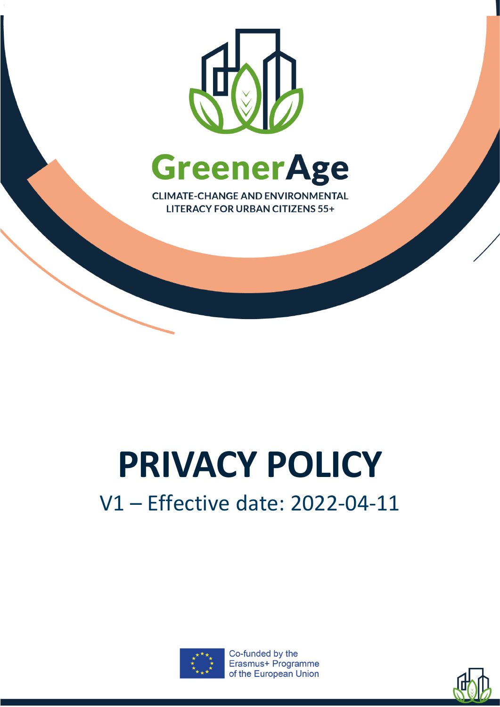

# **PRIVACY POLICY**

## V1 – Effective date: 2022-04-11



Co-funded by the Erasmus+ Programme of the European Union

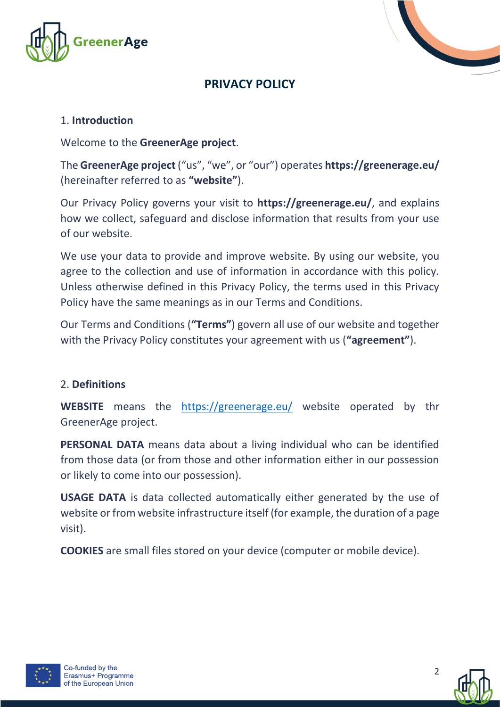



### **PRIVACY POLICY**

#### 1. **Introduction**

Welcome to the **GreenerAge project**.

The **GreenerAge project** ("us", "we", or "our") operates **https://greenerage.eu/** (hereinafter referred to as **"website"**).

Our Privacy Policy governs your visit to **https://greenerage.eu/**, and explains how we collect, safeguard and disclose information that results from your use of our website.

We use your data to provide and improve website. By using our website, you agree to the collection and use of information in accordance with this policy. Unless otherwise defined in this Privacy Policy, the terms used in this Privacy Policy have the same meanings as in our Terms and Conditions.

Our Terms and Conditions (**"Terms"**) govern all use of our website and together with the Privacy Policy constitutes your agreement with us (**"agreement"**).

#### 2. **Definitions**

**WEBSITE** means the <https://greenerage.eu/> website operated by thr GreenerAge project.

**PERSONAL DATA** means data about a living individual who can be identified from those data (or from those and other information either in our possession or likely to come into our possession).

**USAGE DATA** is data collected automatically either generated by the use of website or from website infrastructure itself (for example, the duration of a page visit).

**COOKIES** are small files stored on your device (computer or mobile device).



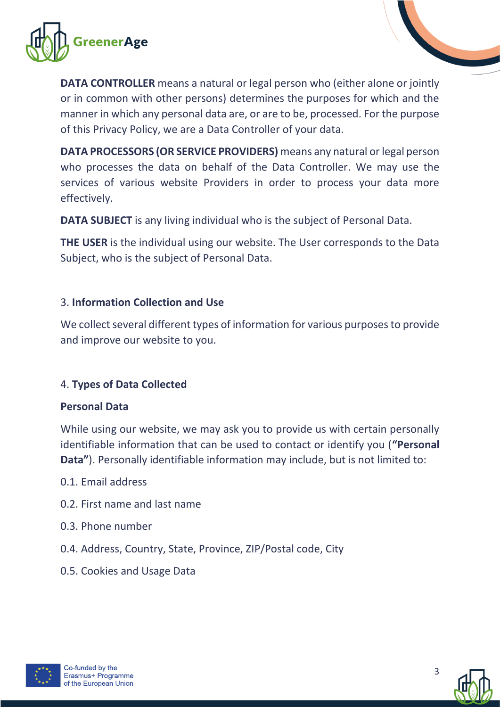

**DATA CONTROLLER** means a natural or legal person who (either alone or jointly or in common with other persons) determines the purposes for which and the manner in which any personal data are, or are to be, processed. For the purpose of this Privacy Policy, we are a Data Controller of your data.

**DATA PROCESSORS (OR SERVICE PROVIDERS)** means any natural or legal person who processes the data on behalf of the Data Controller. We may use the services of various website Providers in order to process your data more effectively.

**DATA SUBJECT** is any living individual who is the subject of Personal Data.

**THE USER** is the individual using our website. The User corresponds to the Data Subject, who is the subject of Personal Data.

#### 3. **Information Collection and Use**

We collect several different types of information for various purposes to provide and improve our website to you.

#### 4. **Types of Data Collected**

#### **Personal Data**

While using our website, we may ask you to provide us with certain personally identifiable information that can be used to contact or identify you (**"Personal Data"**). Personally identifiable information may include, but is not limited to:

- 0.1. Email address
- 0.2. First name and last name
- 0.3. Phone number
- 0.4. Address, Country, State, Province, ZIP/Postal code, City
- 0.5. Cookies and Usage Data



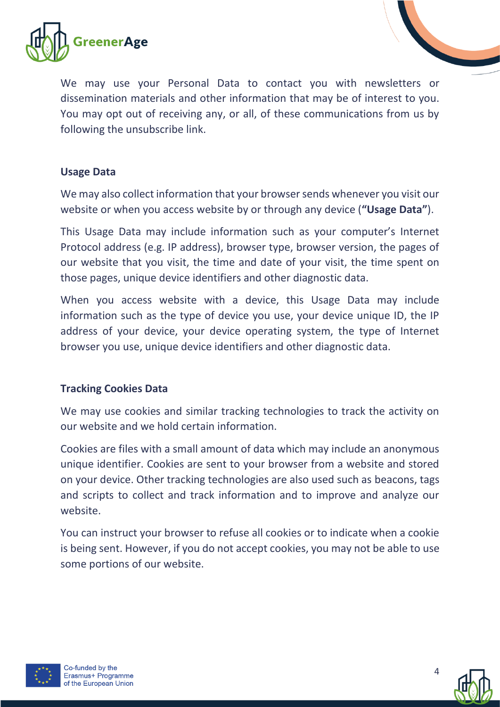

We may use your Personal Data to contact you with newsletters or dissemination materials and other information that may be of interest to you. You may opt out of receiving any, or all, of these communications from us by following the unsubscribe link.

#### **Usage Data**

We may also collect information that your browser sends whenever you visit our website or when you access website by or through any device (**"Usage Data"**).

This Usage Data may include information such as your computer's Internet Protocol address (e.g. IP address), browser type, browser version, the pages of our website that you visit, the time and date of your visit, the time spent on those pages, unique device identifiers and other diagnostic data.

When you access website with a device, this Usage Data may include information such as the type of device you use, your device unique ID, the IP address of your device, your device operating system, the type of Internet browser you use, unique device identifiers and other diagnostic data.

#### **Tracking Cookies Data**

We may use cookies and similar tracking technologies to track the activity on our website and we hold certain information.

Cookies are files with a small amount of data which may include an anonymous unique identifier. Cookies are sent to your browser from a website and stored on your device. Other tracking technologies are also used such as beacons, tags and scripts to collect and track information and to improve and analyze our website.

You can instruct your browser to refuse all cookies or to indicate when a cookie is being sent. However, if you do not accept cookies, you may not be able to use some portions of our website.



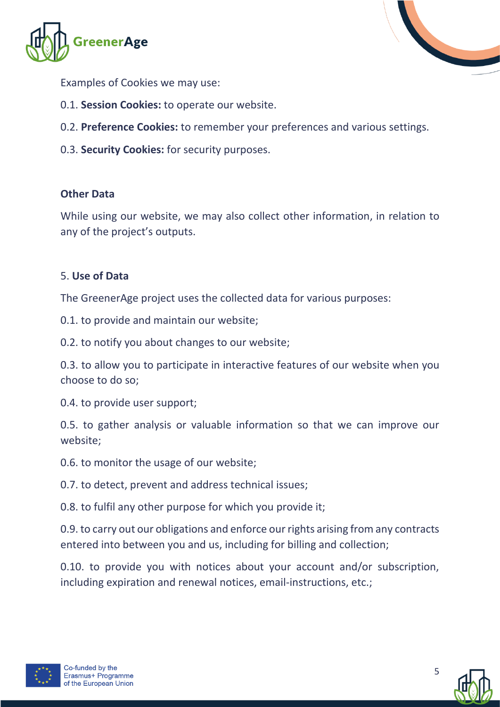



Examples of Cookies we may use:

- 0.1. **Session Cookies:** to operate our website.
- 0.2. **Preference Cookies:** to remember your preferences and various settings.
- 0.3. **Security Cookies:** for security purposes.

#### **Other Data**

While using our website, we may also collect other information, in relation to any of the project's outputs.

#### 5. **Use of Data**

The GreenerAge project uses the collected data for various purposes:

0.1. to provide and maintain our website;

0.2. to notify you about changes to our website;

0.3. to allow you to participate in interactive features of our website when you choose to do so;

0.4. to provide user support;

0.5. to gather analysis or valuable information so that we can improve our website;

0.6. to monitor the usage of our website;

0.7. to detect, prevent and address technical issues;

0.8. to fulfil any other purpose for which you provide it;

0.9. to carry out our obligations and enforce our rights arising from any contracts entered into between you and us, including for billing and collection;

0.10. to provide you with notices about your account and/or subscription, including expiration and renewal notices, email-instructions, etc.;



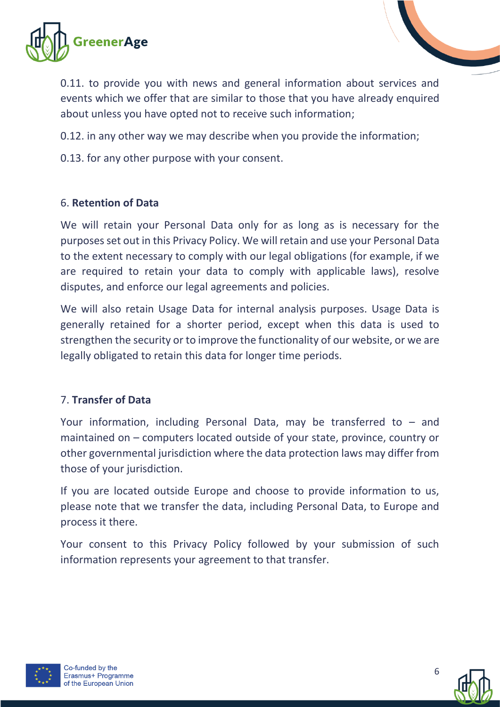



0.12. in any other way we may describe when you provide the information;

0.13. for any other purpose with your consent.

#### 6. **Retention of Data**

We will retain your Personal Data only for as long as is necessary for the purposes set out in this Privacy Policy. We will retain and use your Personal Data to the extent necessary to comply with our legal obligations (for example, if we are required to retain your data to comply with applicable laws), resolve disputes, and enforce our legal agreements and policies.

We will also retain Usage Data for internal analysis purposes. Usage Data is generally retained for a shorter period, except when this data is used to strengthen the security or to improve the functionality of our website, or we are legally obligated to retain this data for longer time periods.

#### 7. **Transfer of Data**

Your information, including Personal Data, may be transferred to – and maintained on – computers located outside of your state, province, country or other governmental jurisdiction where the data protection laws may differ from those of your jurisdiction.

If you are located outside Europe and choose to provide information to us, please note that we transfer the data, including Personal Data, to Europe and process it there.

Your consent to this Privacy Policy followed by your submission of such information represents your agreement to that transfer.



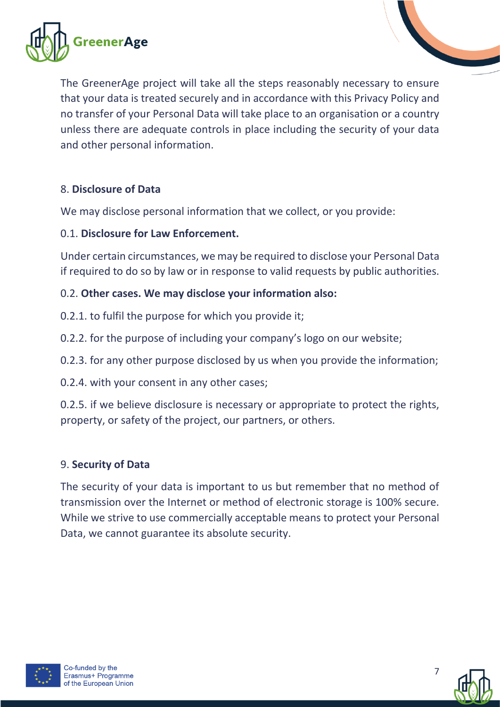



#### 8. **Disclosure of Data**

We may disclose personal information that we collect, or you provide:

#### 0.1. **Disclosure for Law Enforcement.**

Under certain circumstances, we may be required to disclose your Personal Data if required to do so by law or in response to valid requests by public authorities.

#### 0.2. **Other cases. We may disclose your information also:**

- 0.2.1. to fulfil the purpose for which you provide it;
- 0.2.2. for the purpose of including your company's logo on our website;
- 0.2.3. for any other purpose disclosed by us when you provide the information;
- 0.2.4. with your consent in any other cases;

0.2.5. if we believe disclosure is necessary or appropriate to protect the rights, property, or safety of the project, our partners, or others.

#### 9. **Security of Data**

The security of your data is important to us but remember that no method of transmission over the Internet or method of electronic storage is 100% secure. While we strive to use commercially acceptable means to protect your Personal Data, we cannot guarantee its absolute security.



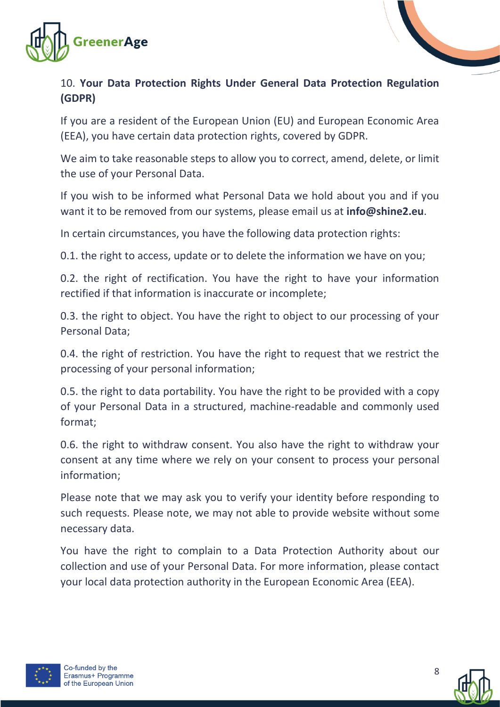

#### 10. **Your Data Protection Rights Under General Data Protection Regulation (GDPR)**

If you are a resident of the European Union (EU) and European Economic Area (EEA), you have certain data protection rights, covered by GDPR.

We aim to take reasonable steps to allow you to correct, amend, delete, or limit the use of your Personal Data.

If you wish to be informed what Personal Data we hold about you and if you want it to be removed from our systems, please email us at **info@shine2.eu**.

In certain circumstances, you have the following data protection rights:

0.1. the right to access, update or to delete the information we have on you;

0.2. the right of rectification. You have the right to have your information rectified if that information is inaccurate or incomplete;

0.3. the right to object. You have the right to object to our processing of your Personal Data;

0.4. the right of restriction. You have the right to request that we restrict the processing of your personal information;

0.5. the right to data portability. You have the right to be provided with a copy of your Personal Data in a structured, machine-readable and commonly used format;

0.6. the right to withdraw consent. You also have the right to withdraw your consent at any time where we rely on your consent to process your personal information;

Please note that we may ask you to verify your identity before responding to such requests. Please note, we may not able to provide website without some necessary data.

You have the right to complain to a Data Protection Authority about our collection and use of your Personal Data. For more information, please contact your local data protection authority in the European Economic Area (EEA).



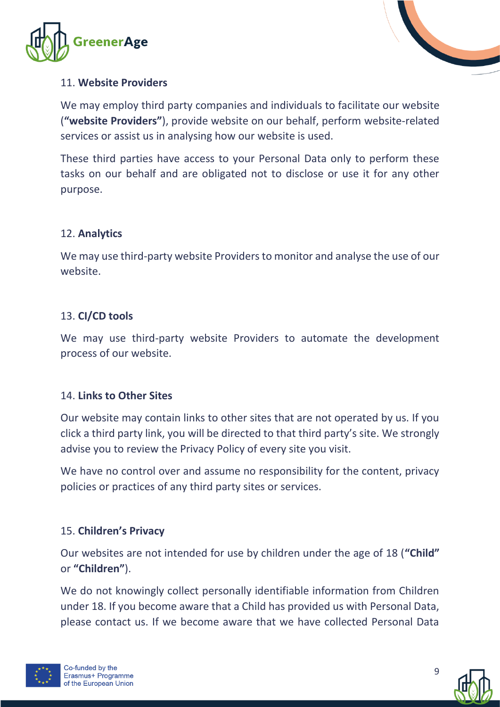



#### 11. **Website Providers**

We may employ third party companies and individuals to facilitate our website (**"website Providers"**), provide website on our behalf, perform website-related services or assist us in analysing how our website is used.

These third parties have access to your Personal Data only to perform these tasks on our behalf and are obligated not to disclose or use it for any other purpose.

#### 12. **Analytics**

We may use third-party website Providers to monitor and analyse the use of our website.

#### 13. **CI/CD tools**

We may use third-party website Providers to automate the development process of our website.

#### 14. **Links to Other Sites**

Our website may contain links to other sites that are not operated by us. If you click a third party link, you will be directed to that third party's site. We strongly advise you to review the Privacy Policy of every site you visit.

We have no control over and assume no responsibility for the content, privacy policies or practices of any third party sites or services.

#### 15. **Children's Privacy**

Our websites are not intended for use by children under the age of 18 (**"Child"** or **"Children"**).

We do not knowingly collect personally identifiable information from Children under 18. If you become aware that a Child has provided us with Personal Data, please contact us. If we become aware that we have collected Personal Data